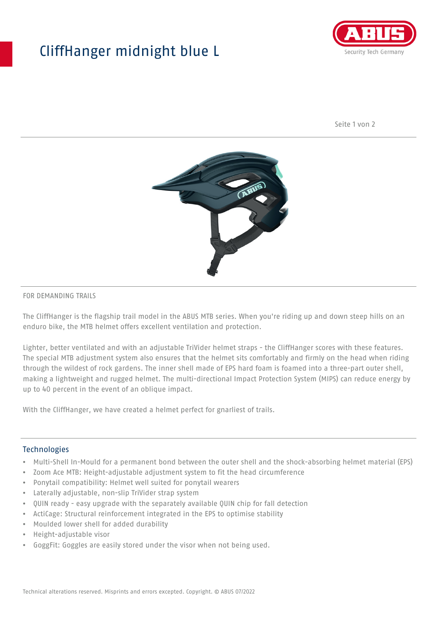## CliffHanger midnight blue L



Seite 1 von 2



## FOR DEMANDING TRAILS

The CliffHanger is the flagship trail model in the ABUS MTB series. When you're riding up and down steep hills on an enduro bike, the MTB helmet offers excellent ventilation and protection.

Lighter, better ventilated and with an adjustable TriVider helmet straps - the CliffHanger scores with these features. The special MTB adjustment system also ensures that the helmet sits comfortably and firmly on the head when riding through the wildest of rock gardens. The inner shell made of EPS hard foam is foamed into a three-part outer shell, making a lightweight and rugged helmet. The multi-directional Impact Protection System (MIPS) can reduce energy by up to 40 percent in the event of an oblique impact.

With the CliffHanger, we have created a helmet perfect for gnarliest of trails.

## Technologies

- Multi-Shell In-Mould for a permanent bond between the outer shell and the shock-absorbing helmet material (EPS)
- Zoom Ace MTB: Height-adjustable adjustment system to fit the head circumference
- Ponytail compatibility: Helmet well suited for ponytail wearers
- Laterally adjustable, non-slip TriVider strap system
- QUIN ready easy upgrade with the separately available QUIN chip for fall detection
- ActiCage: Structural reinforcement integrated in the EPS to optimise stability
- Moulded lower shell for added durability
- Height-adjustable visor
- GoggFit: Goggles are easily stored under the visor when not being used.